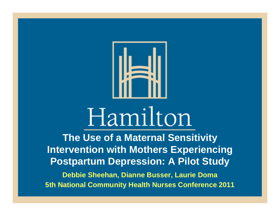

# Hamilton

**The Use of a Maternal Sensitivity Intervention with Mothers Experiencing Postpartum Depression: A Pilot Study Debbie Sheehan, Dianne Busser, Laurie Doma 5th National Community Health Nurses Conference 2011**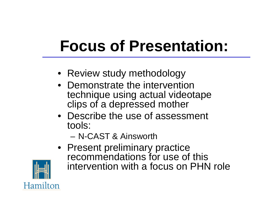## **Focus of Presentation:**

- Review study methodology
- Demonstrate the intervention technique using actual videotape clips of a depressed mother
- Describe the use of assessment tools:

– N-CAST & Ainsworth

• Present preliminary practice recommendations for use of this intervention with a focus on PHN role

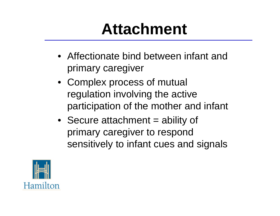## **Attachment**

- Affectionate bind between infant and primary caregiver
- Complex process of mutual regulation involving the active participation of the mother and infant
- Secure attachment = ability of primary caregiver to respond sensitively to infant cues and signals

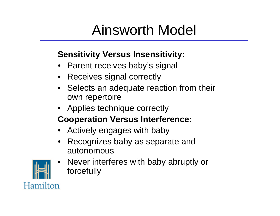### Ainsworth Model

#### **Sensitivity Versus Insensitivity:**

- Parent receives baby's signal
- Receives signal correctly
- Selects an adequate reaction from their own repertoire
- Applies technique correctly

#### **Cooperation Versus Interference:**

- Actively engages with baby
- Recognizes baby as separate and autonomous



• Never interferes with baby abruptly or forcefully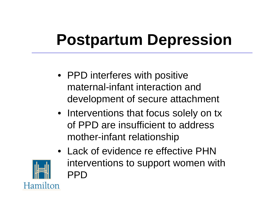## **Postpartum Depression**

- PPD interferes with positive maternal-infant interaction and development of secure attachment
- Interventions that focus solely on tx of PPD are insufficient to address mother-infant relationship



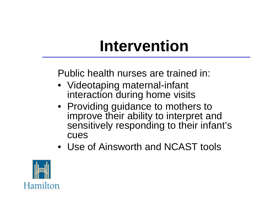## **Intervention**

Public health nurses are trained in:

- Videotaping maternal-infant interaction during home visits
- Providing guidance to mothers to improve their ability to interpret and sensitively responding to their infant's cues
- Use of Ainsworth and NCAST tools

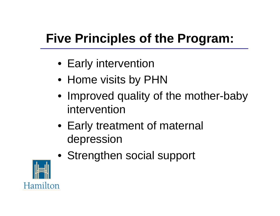### **Five Principles of the Program:**

- Early intervention
- Home visits by PHN
- Improved quality of the mother-baby intervention
- Early treatment of maternal depression
- Strengthen social support

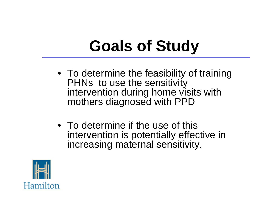## **Goals of Study**

- To determine the feasibility of training PHNs to use the sensitivity intervention during home visits with mothers diagnosed with PPD
- To determine if the use of this intervention is potentially effective in increasing maternal sensitivity.

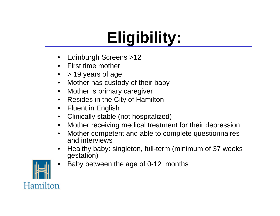## **Eligibility:**

- Edinburgh Screens >12
- First time mother
- > 19 years of age
- Mother has custody of their baby
- Mother is primary caregiver
- Resides in the City of Hamilton
- Fluent in English
- Clinically stable (not hospitalized)
- Mother receiving medical treatment for their depression
- Mother competent and able to complete questionnaires and interviews
- Healthy baby: singleton, full-term (minimum of 37 weeks gestation)



• Baby between the age of 0-12 months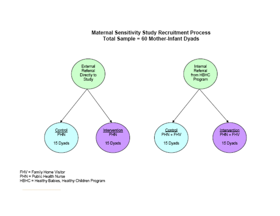#### **Maternal Sensitivity Study Recruitment Process** Total Sample = 60 Mother-Infant Dyads



FHV = Family Home Visitor PHN = Public Health Nurse HBHC = Healthy Babies, Healthy Children Program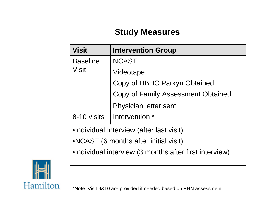#### **Study Measures**

| <b>Visit</b>                                           | <b>Intervention Group</b>                 |
|--------------------------------------------------------|-------------------------------------------|
| <b>Baseline</b><br><b>Visit</b>                        | <b>NCAST</b>                              |
|                                                        | Videotape                                 |
|                                                        | Copy of HBHC Parkyn Obtained              |
|                                                        | <b>Copy of Family Assessment Obtained</b> |
|                                                        | Physician letter sent                     |
| 8-10 visits                                            | Intervention *                            |
| •Individual Interview (after last visit)               |                                           |
| •NCAST (6 months after initial visit)                  |                                           |
| •Individual interview (3 months after first interview) |                                           |

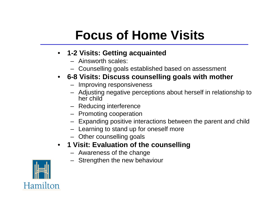### **Focus of Home Visits**

- **1-2 Visits: Getting acquainted**
	- Ainsworth scales:
	- Counselling goals established based on assessment

#### • **6-8 Visits: Discuss counselling goals with mother**

- Improving responsiveness
- Adjusting negative perceptions about herself in relationship to her child
- Reducing interference
- Promoting cooperation
- Expanding positive interactions between the parent and child
- Learning to stand up for oneself more
- Other counselling goals
- **1 Visit: Evaluation of the counselling**
	- Awareness of the change
	- Strengthen the new behaviour

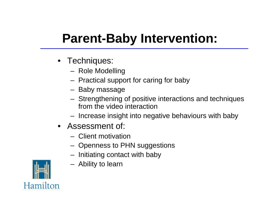### **Parent-Baby Intervention:**

- Techniques:
	- Role Modelling
	- Practical support for caring for baby
	- Baby massage
	- Strengthening of positive interactions and techniques from the video interaction
	- Increase insight into negative behaviours with baby
- Assessment of:
	- Client motivation
	- Openness to PHN suggestions
	- Initiating contact with baby
	- Ability to learn

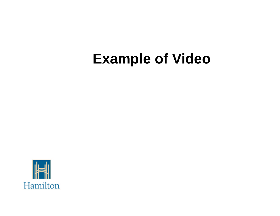### **Example of Video**

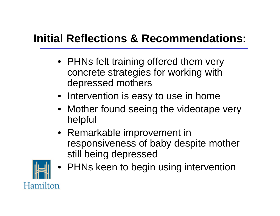#### **Initial Reflections & Recommendations:**

- PHNs felt training offered them very concrete strategies for working with depressed mothers
- Intervention is easy to use in home
- Mother found seeing the videotape very helpful
- Remarkable improvement in responsiveness of baby despite mother still being depressed



• PHNs keen to begin using intervention